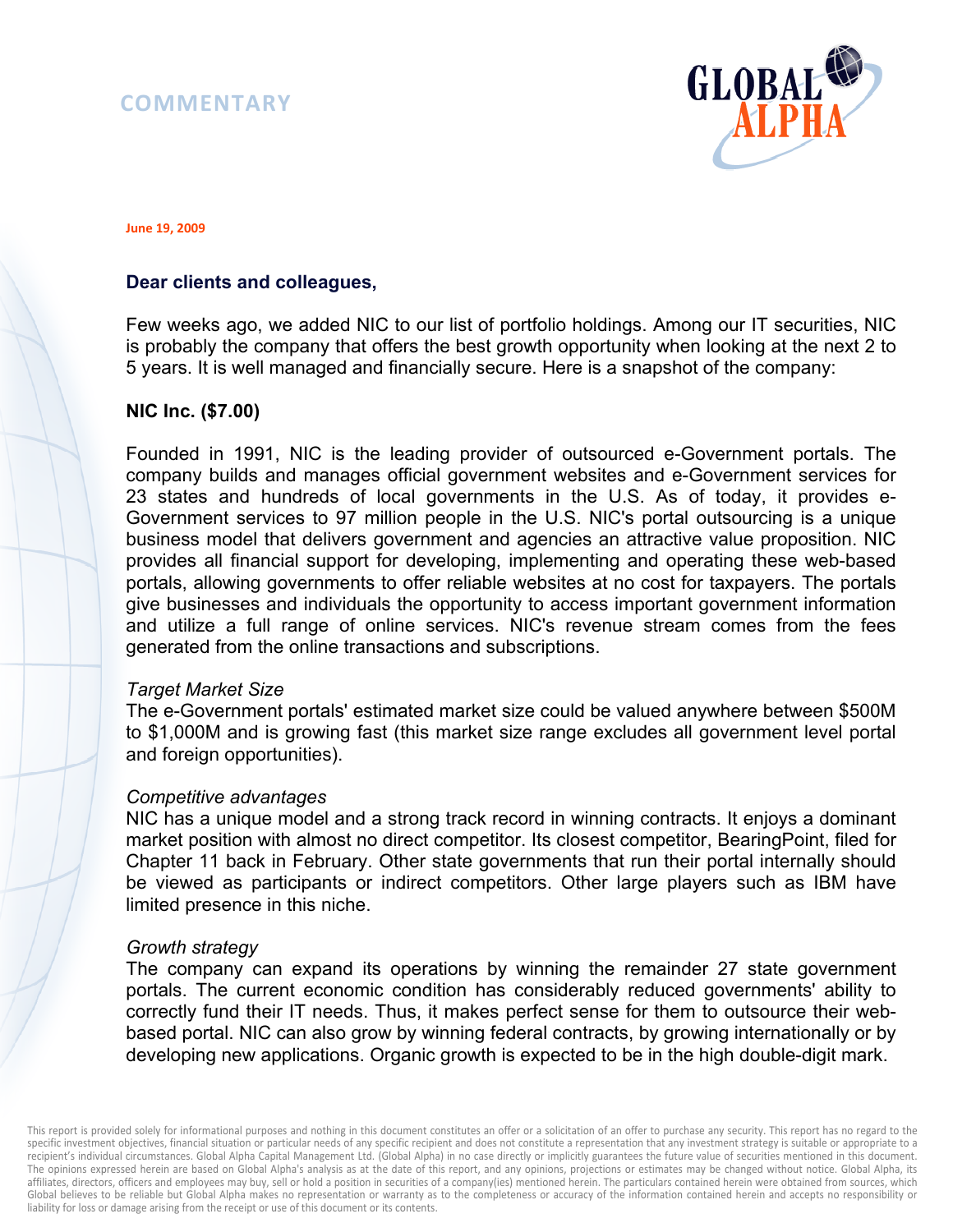# **COMMENTARY**



**June 19, 2009** 

# **Dear clients and colleagues,**

Few weeks ago, we added NIC to our list of portfolio holdings. Among our IT securities, NIC is probably the company that offers the best growth opportunity when looking at the next 2 to 5 years. It is well managed and financially secure. Here is a snapshot of the company:

#### **NIC Inc. (\$7.00)**

Founded in 1991, NIC is the leading provider of outsourced e-Government portals. The company builds and manages official government websites and e-Government services for 23 states and hundreds of local governments in the U.S. As of today, it provides e-Government services to 97 million people in the U.S. NIC's portal outsourcing is a unique business model that delivers government and agencies an attractive value proposition. NIC provides all financial support for developing, implementing and operating these web-based portals, allowing governments to offer reliable websites at no cost for taxpayers. The portals give businesses and individuals the opportunity to access important government information and utilize a full range of online services. NIC's revenue stream comes from the fees generated from the online transactions and subscriptions.

#### *Target Market Size*

The e-Government portals' estimated market size could be valued anywhere between \$500M to \$1,000M and is growing fast (this market size range excludes all government level portal and foreign opportunities).

#### *Competitive advantages*

NIC has a unique model and a strong track record in winning contracts. It enjoys a dominant market position with almost no direct competitor. Its closest competitor, BearingPoint, filed for Chapter 11 back in February. Other state governments that run their portal internally should be viewed as participants or indirect competitors. Other large players such as IBM have limited presence in this niche.

#### *Growth strategy*

The company can expand its operations by winning the remainder 27 state government portals. The current economic condition has considerably reduced governments' ability to correctly fund their IT needs. Thus, it makes perfect sense for them to outsource their webbased portal. NIC can also grow by winning federal contracts, by growing internationally or by developing new applications. Organic growth is expected to be in the high double-digit mark.

This report is provided solely for informational purposes and nothing in this document constitutes an offer or a solicitation of an offer to purchase any security. This report has no regard to the specific investment objectives, financial situation or particular needs of any specific recipient and does not constitute a representation that any investment strategy is suitable or appropriate to a recipient's individual circumstances. Global Alpha Capital Management Ltd. (Global Alpha) in no case directly or implicitly guarantees the future value of securities mentioned in this document. The opinions expressed herein are based on Global Alpha's analysis as at the date of this report, and any opinions, projections or estimates may be changed without notice. Global Alpha, its affiliates, directors, officers and employees may buy, sell or hold a position in securities of a company(ies) mentioned herein. The particulars contained herein were obtained from sources, which Global believes to be reliable but Global Alpha makes no representation or warranty as to the completeness or accuracy of the information contained herein and accepts no responsibility or liability for loss or damage arising from the receipt or use of this document or its contents.